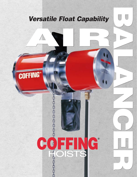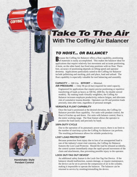# **With The Coffing®Air Balancer Take To The Air**

## **TO HOIST... OR BALANCE?**

ecause the Coffing Air Balancer offers a float capability, positioning **D** ecause the Coffing Air Balancer offers a float capability, positioning of materials is easily accomplished. This makes the balancer ideal for applications that require relatively fast movement and accurate positioning. A hoist, on the other hand, has fixed stop positions with no float. Therefore, accuracy of positioning depends on lifting speed and operator dexterity. Applications particularly suited to the Coffing Air Balancer include palletizing and stacking, pick and place, load and unload. The float capability is especially valuable for tool balancing and assembly.

## **CAPACITY** — 500 Lbs. **EFFORT** — Minimal.

**AIR PRESSURE** — Only 90 psi (6 bar) required for rated capacity.

Engineered for applications that require precise positioning or repetitive transferring of loads as heavy as 500 lbs. (600 lbs. for double reeved models). By making loads virtually weightless, the Coffing Air Balancer increases employee productivity, reduces fatigue, and alleviates risk of cumulative trauma disorder. Operators can lift and position loads precisely, time after time, regardless of personal strength.

#### **VERSATILE FLOAT CAPABILITY**

Once the load is positioned at the desired elevation, the Coffing Air Balancer provides float capability. For units with pendant control, the float is 8 inches up and down. For units with balance control, float is the entire working range. The float feature allows the operator to position the load easily and precisely by hand.

#### **100% DUTY CYCLE**

Due to the operation of its pneumatic power source, there is no limit to the number of start/stop cycles the Coffing Air Balancer can perform. The resulting performance allows for reliable productivity.

#### **LOST LOAD PROTECTOR\***

Because protection from injury due to loss of an unsupported load is one of the industry's most vital concerns, the Coffing Air Balancer features the Lost Load Protector. Should the load be released accidently, the control system immediately stops the rapid upward movement of the chain and attachments, thus preventing possible injury to the operator.

#### **LOCK OUT-TAG OUT DEVICE\***

An additional safety feature is the Lock Out-Tag Out Device. If the balancer should malfunction, sustain damage, or require maintenance, the device can be set to prevent the compression of air in the cylinder, making it impossible to operate the balancer. The balancer can be returned to service by resetting/reinstalling the device.

**Handshake-Style Pendant Control**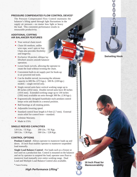#### **PRESSURE COMPENSATED FLOW CONTROL DEVICE\***

The Pressure Compensated Flow Control maintains the balancer's lifting speed through light fluctuations in the supply air pressure—no matter how light or heavy the load. This consistent performance results in measurable productivity.

#### **ADDITIONAL COFFING AIR BALANCER FEATURES**

- **True vertical chain travel.**
- Chain lift medium, unlike wire rope, won't spin or fray. Chain also provides flexibility and longevity.
- Exclusive 18-pocket, oblique lay liftwheel assures smooth balancer operation.
- **Lower hook swivels, allowing the operator to** rotate the load without twisting the chain.
- Convenient built-in air supply port for hook-up to air powered end tools.
- Can be double reeved, increasing the ultimate capacity to 600 lbs. (272 kgs.). 500 lb. (228 kgs.) models—single reeved only.
- Single reeved units have vertical working range up to 80 inches (2032 mm). Double reeved units have 40 inches (1016 mm). Extended working range up to 130 inches (3302 mm) available on units through 300 lbs. (136 kgs.).
- **•** Ergonomically designed handshake-style pendant control keeps wrist and thumb in a neutral position.
- Ball bearings at all rotating points.
- Adjustable lowering speed.
- Standard control hose length is 9 feet  $(2.7 \text{ mm})$ . External strain relief for control hose—standard.
- **Lifetime Warranty.**
- Made in USA.

#### **SINGLE REEVED CAPACITIES**

120 Lbs. / 55 Kgs. 200 Lbs. / 91 Kgs. 300 Lbs. / 136 Kgs. 500 Lbs. / 228 Kgs.

#### **CONTROL OPTIONS**

**Pendant Control** - Allows operator to maneuver loads up and down. 16 inch float enables operator to maneuver suspended load manually.

**Single Load Balance Control** - For loads such as a fixture or tool used on a production line. Control is mounted on the balancer and set by operator to suspend the load; operator uses float to maneuver load manually over entire working range. Dual Load and Multiple Load Balance Control also available.

\* Patent Pending

## **High Performance Lifting™**

#### **Swiveling Hook**

**16 Inch Float for Maneuverability**